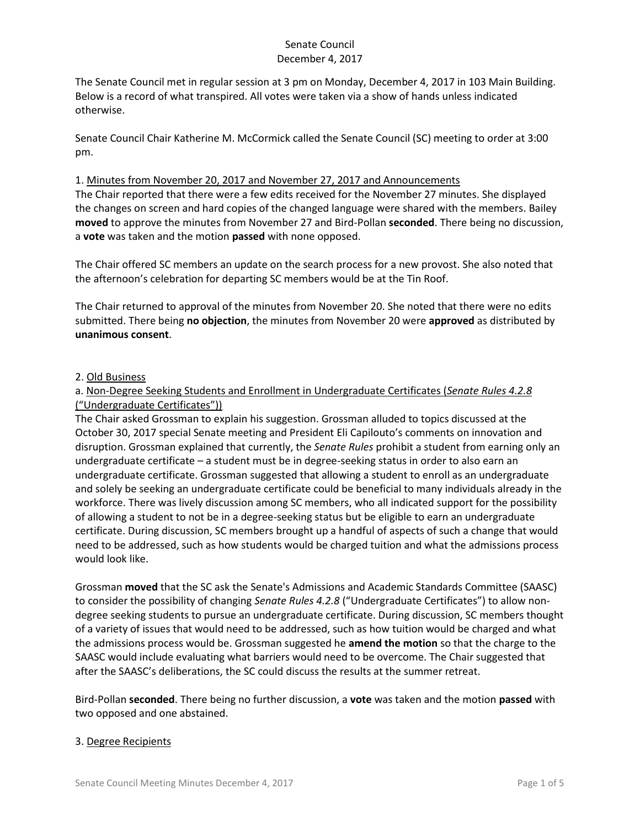The Senate Council met in regular session at 3 pm on Monday, December 4, 2017 in 103 Main Building. Below is a record of what transpired. All votes were taken via a show of hands unless indicated otherwise.

Senate Council Chair Katherine M. McCormick called the Senate Council (SC) meeting to order at 3:00 pm.

#### 1. Minutes from November 20, 2017 and November 27, 2017 and Announcements

The Chair reported that there were a few edits received for the November 27 minutes. She displayed the changes on screen and hard copies of the changed language were shared with the members. Bailey **moved** to approve the minutes from November 27 and Bird-Pollan **seconded**. There being no discussion, a **vote** was taken and the motion **passed** with none opposed.

The Chair offered SC members an update on the search process for a new provost. She also noted that the afternoon's celebration for departing SC members would be at the Tin Roof.

The Chair returned to approval of the minutes from November 20. She noted that there were no edits submitted. There being **no objection**, the minutes from November 20 were **approved** as distributed by **unanimous consent**.

#### 2. Old Business

## a. Non-Degree Seeking Students and Enrollment in Undergraduate Certificates (*Senate Rules 4.2.8* ("Undergraduate Certificates"))

The Chair asked Grossman to explain his suggestion. Grossman alluded to topics discussed at the October 30, 2017 special Senate meeting and President Eli Capilouto's comments on innovation and disruption. Grossman explained that currently, the *Senate Rules* prohibit a student from earning only an undergraduate certificate – a student must be in degree-seeking status in order to also earn an undergraduate certificate. Grossman suggested that allowing a student to enroll as an undergraduate and solely be seeking an undergraduate certificate could be beneficial to many individuals already in the workforce. There was lively discussion among SC members, who all indicated support for the possibility of allowing a student to not be in a degree-seeking status but be eligible to earn an undergraduate certificate. During discussion, SC members brought up a handful of aspects of such a change that would need to be addressed, such as how students would be charged tuition and what the admissions process would look like.

Grossman **moved** that the SC ask the Senate's Admissions and Academic Standards Committee (SAASC) to consider the possibility of changing *Senate Rules 4.2.8* ("Undergraduate Certificates") to allow nondegree seeking students to pursue an undergraduate certificate. During discussion, SC members thought of a variety of issues that would need to be addressed, such as how tuition would be charged and what the admissions process would be. Grossman suggested he **amend the motion** so that the charge to the SAASC would include evaluating what barriers would need to be overcome. The Chair suggested that after the SAASC's deliberations, the SC could discuss the results at the summer retreat.

Bird-Pollan **seconded**. There being no further discussion, a **vote** was taken and the motion **passed** with two opposed and one abstained.

## 3. Degree Recipients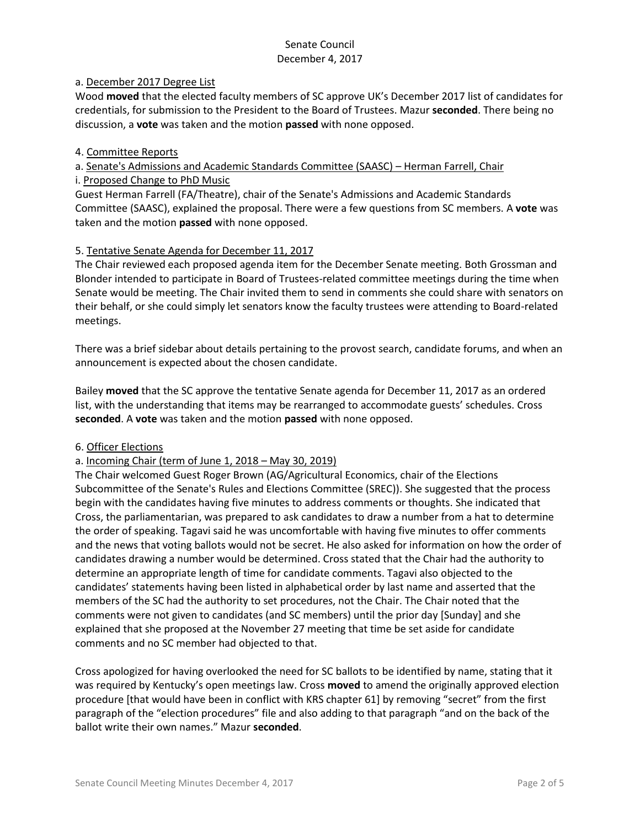## a. December 2017 Degree List

Wood **moved** that the elected faculty members of SC approve UK's December 2017 list of candidates for credentials, for submission to the President to the Board of Trustees. Mazur **seconded**. There being no discussion, a **vote** was taken and the motion **passed** with none opposed.

#### 4. Committee Reports

a. Senate's Admissions and Academic Standards Committee (SAASC) – Herman Farrell, Chair

# i. Proposed Change to PhD Music

Guest Herman Farrell (FA/Theatre), chair of the Senate's Admissions and Academic Standards Committee (SAASC), explained the proposal. There were a few questions from SC members. A **vote** was taken and the motion **passed** with none opposed.

## 5. Tentative Senate Agenda for December 11, 2017

The Chair reviewed each proposed agenda item for the December Senate meeting. Both Grossman and Blonder intended to participate in Board of Trustees-related committee meetings during the time when Senate would be meeting. The Chair invited them to send in comments she could share with senators on their behalf, or she could simply let senators know the faculty trustees were attending to Board-related meetings.

There was a brief sidebar about details pertaining to the provost search, candidate forums, and when an announcement is expected about the chosen candidate.

Bailey **moved** that the SC approve the tentative Senate agenda for December 11, 2017 as an ordered list, with the understanding that items may be rearranged to accommodate guests' schedules. Cross **seconded**. A **vote** was taken and the motion **passed** with none opposed.

## 6. Officer Elections

## a. Incoming Chair (term of June 1, 2018 – May 30, 2019)

The Chair welcomed Guest Roger Brown (AG/Agricultural Economics, chair of the Elections Subcommittee of the Senate's Rules and Elections Committee (SREC)). She suggested that the process begin with the candidates having five minutes to address comments or thoughts. She indicated that Cross, the parliamentarian, was prepared to ask candidates to draw a number from a hat to determine the order of speaking. Tagavi said he was uncomfortable with having five minutes to offer comments and the news that voting ballots would not be secret. He also asked for information on how the order of candidates drawing a number would be determined. Cross stated that the Chair had the authority to determine an appropriate length of time for candidate comments. Tagavi also objected to the candidates' statements having been listed in alphabetical order by last name and asserted that the members of the SC had the authority to set procedures, not the Chair. The Chair noted that the comments were not given to candidates (and SC members) until the prior day [Sunday] and she explained that she proposed at the November 27 meeting that time be set aside for candidate comments and no SC member had objected to that.

Cross apologized for having overlooked the need for SC ballots to be identified by name, stating that it was required by Kentucky's open meetings law. Cross **moved** to amend the originally approved election procedure [that would have been in conflict with KRS chapter 61] by removing "secret" from the first paragraph of the "election procedures" file and also adding to that paragraph "and on the back of the ballot write their own names." Mazur **seconded**.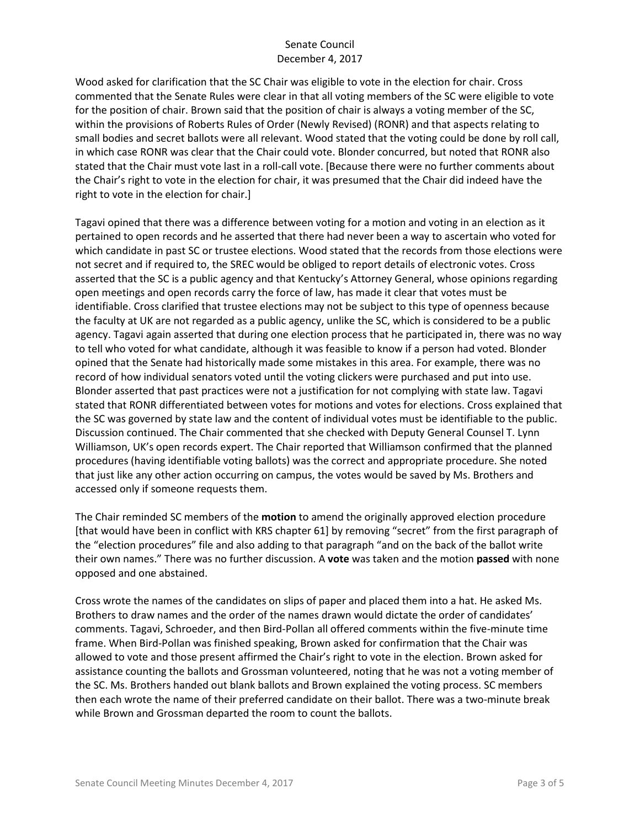Wood asked for clarification that the SC Chair was eligible to vote in the election for chair. Cross commented that the Senate Rules were clear in that all voting members of the SC were eligible to vote for the position of chair. Brown said that the position of chair is always a voting member of the SC, within the provisions of Roberts Rules of Order (Newly Revised) (RONR) and that aspects relating to small bodies and secret ballots were all relevant. Wood stated that the voting could be done by roll call, in which case RONR was clear that the Chair could vote. Blonder concurred, but noted that RONR also stated that the Chair must vote last in a roll-call vote. [Because there were no further comments about the Chair's right to vote in the election for chair, it was presumed that the Chair did indeed have the right to vote in the election for chair.]

Tagavi opined that there was a difference between voting for a motion and voting in an election as it pertained to open records and he asserted that there had never been a way to ascertain who voted for which candidate in past SC or trustee elections. Wood stated that the records from those elections were not secret and if required to, the SREC would be obliged to report details of electronic votes. Cross asserted that the SC is a public agency and that Kentucky's Attorney General, whose opinions regarding open meetings and open records carry the force of law, has made it clear that votes must be identifiable. Cross clarified that trustee elections may not be subject to this type of openness because the faculty at UK are not regarded as a public agency, unlike the SC, which is considered to be a public agency. Tagavi again asserted that during one election process that he participated in, there was no way to tell who voted for what candidate, although it was feasible to know if a person had voted. Blonder opined that the Senate had historically made some mistakes in this area. For example, there was no record of how individual senators voted until the voting clickers were purchased and put into use. Blonder asserted that past practices were not a justification for not complying with state law. Tagavi stated that RONR differentiated between votes for motions and votes for elections. Cross explained that the SC was governed by state law and the content of individual votes must be identifiable to the public. Discussion continued. The Chair commented that she checked with Deputy General Counsel T. Lynn Williamson, UK's open records expert. The Chair reported that Williamson confirmed that the planned procedures (having identifiable voting ballots) was the correct and appropriate procedure. She noted that just like any other action occurring on campus, the votes would be saved by Ms. Brothers and accessed only if someone requests them.

The Chair reminded SC members of the **motion** to amend the originally approved election procedure [that would have been in conflict with KRS chapter 61] by removing "secret" from the first paragraph of the "election procedures" file and also adding to that paragraph "and on the back of the ballot write their own names." There was no further discussion. A **vote** was taken and the motion **passed** with none opposed and one abstained.

Cross wrote the names of the candidates on slips of paper and placed them into a hat. He asked Ms. Brothers to draw names and the order of the names drawn would dictate the order of candidates' comments. Tagavi, Schroeder, and then Bird-Pollan all offered comments within the five-minute time frame. When Bird-Pollan was finished speaking, Brown asked for confirmation that the Chair was allowed to vote and those present affirmed the Chair's right to vote in the election. Brown asked for assistance counting the ballots and Grossman volunteered, noting that he was not a voting member of the SC. Ms. Brothers handed out blank ballots and Brown explained the voting process. SC members then each wrote the name of their preferred candidate on their ballot. There was a two-minute break while Brown and Grossman departed the room to count the ballots.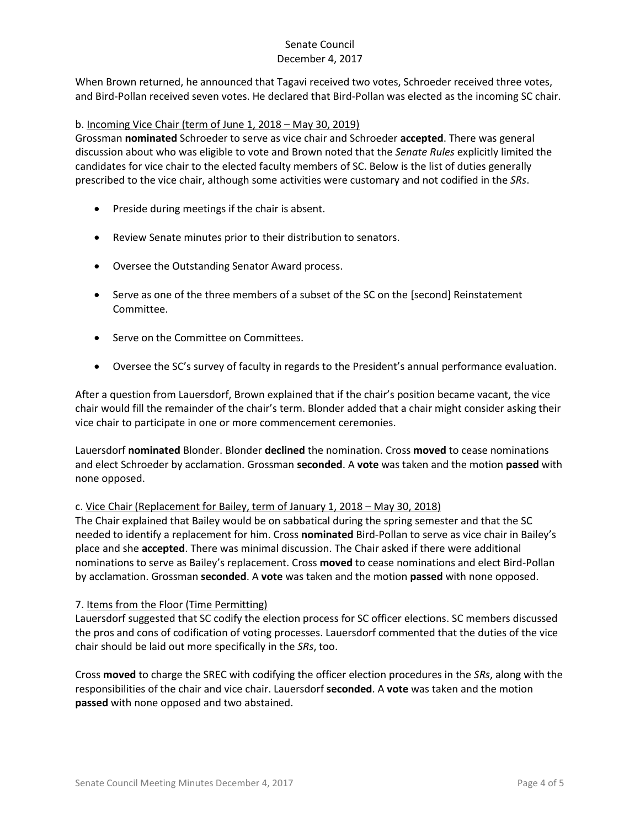When Brown returned, he announced that Tagavi received two votes, Schroeder received three votes, and Bird-Pollan received seven votes. He declared that Bird-Pollan was elected as the incoming SC chair.

## b. Incoming Vice Chair (term of June 1, 2018 – May 30, 2019)

Grossman **nominated** Schroeder to serve as vice chair and Schroeder **accepted**. There was general discussion about who was eligible to vote and Brown noted that the *Senate Rules* explicitly limited the candidates for vice chair to the elected faculty members of SC. Below is the list of duties generally prescribed to the vice chair, although some activities were customary and not codified in the *SRs*.

- Preside during meetings if the chair is absent.
- Review Senate minutes prior to their distribution to senators.
- Oversee the Outstanding Senator Award process.
- Serve as one of the three members of a subset of the SC on the [second] Reinstatement Committee.
- Serve on the Committee on Committees.
- Oversee the SC's survey of faculty in regards to the President's annual performance evaluation.

After a question from Lauersdorf, Brown explained that if the chair's position became vacant, the vice chair would fill the remainder of the chair's term. Blonder added that a chair might consider asking their vice chair to participate in one or more commencement ceremonies.

Lauersdorf **nominated** Blonder. Blonder **declined** the nomination. Cross **moved** to cease nominations and elect Schroeder by acclamation. Grossman **seconded**. A **vote** was taken and the motion **passed** with none opposed.

## c. Vice Chair (Replacement for Bailey, term of January 1, 2018 – May 30, 2018)

The Chair explained that Bailey would be on sabbatical during the spring semester and that the SC needed to identify a replacement for him. Cross **nominated** Bird-Pollan to serve as vice chair in Bailey's place and she **accepted**. There was minimal discussion. The Chair asked if there were additional nominations to serve as Bailey's replacement. Cross **moved** to cease nominations and elect Bird-Pollan by acclamation. Grossman **seconded**. A **vote** was taken and the motion **passed** with none opposed.

## 7. Items from the Floor (Time Permitting)

Lauersdorf suggested that SC codify the election process for SC officer elections. SC members discussed the pros and cons of codification of voting processes. Lauersdorf commented that the duties of the vice chair should be laid out more specifically in the *SRs*, too.

Cross **moved** to charge the SREC with codifying the officer election procedures in the *SRs*, along with the responsibilities of the chair and vice chair. Lauersdorf **seconded**. A **vote** was taken and the motion **passed** with none opposed and two abstained.